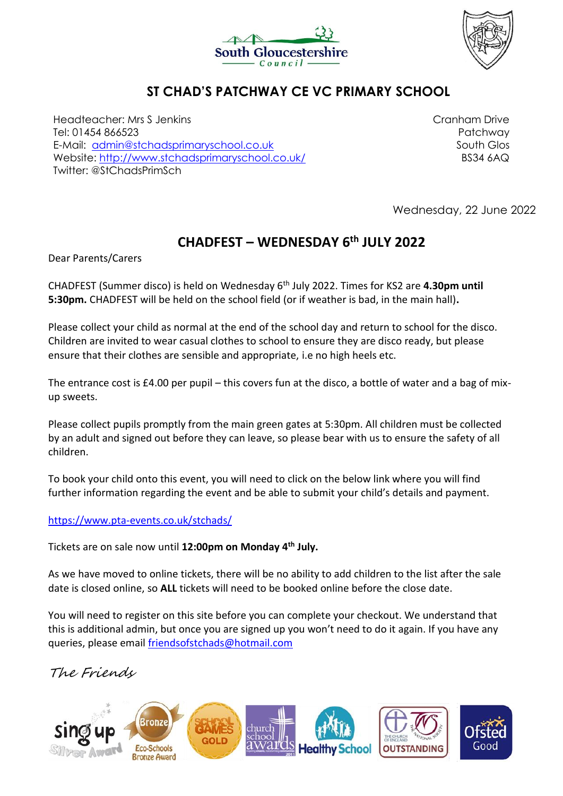



## **ST CHAD'S PATCHWAY CE VC PRIMARY SCHOOL**

Headteacher: Mrs S Jenkins Tel: 01454 866523 E-Mail: [admin@stchadsprimaryschool.co.uk](mailto:admin@stchadsprimaryschool.co.uk) Website:<http://www.stchadsprimaryschool.co.uk/> Twitter: @StChadsPrimSch

Cranham Drive Patchway South Glos BS34 6AQ

Wednesday, 22 June 2022

## **CHADFEST – WEDNESDAY 6th JULY 2022**

Dear Parents/Carers

CHADFEST (Summer disco) is held on Wednesday 6th July 2022. Times for KS2 are **4.30pm until 5:30pm.** CHADFEST will be held on the school field (or if weather is bad, in the main hall)**.** 

Please collect your child as normal at the end of the school day and return to school for the disco. Children are invited to wear casual clothes to school to ensure they are disco ready, but please ensure that their clothes are sensible and appropriate, i.e no high heels etc.

The entrance cost is £4.00 per pupil – this covers fun at the disco, a bottle of water and a bag of mixup sweets.

Please collect pupils promptly from the main green gates at 5:30pm. All children must be collected by an adult and signed out before they can leave, so please bear with us to ensure the safety of all children.

To book your child onto this event, you will need to click on the below link where you will find further information regarding the event and be able to submit your child's details and payment.

<https://www.pta-events.co.uk/stchads/>

Tickets are on sale now until **12:00pm on Monday 4th July.**

As we have moved to online tickets, there will be no ability to add children to the list after the sale date is closed online, so **ALL** tickets will need to be booked online before the close date.

You will need to register on this site before you can complete your checkout. We understand that this is additional admin, but once you are signed up you won't need to do it again. If you have any queries, please email [friendsofstchads@hotmail.com](mailto:friendsofstchads@hotmail.com)

The Friends